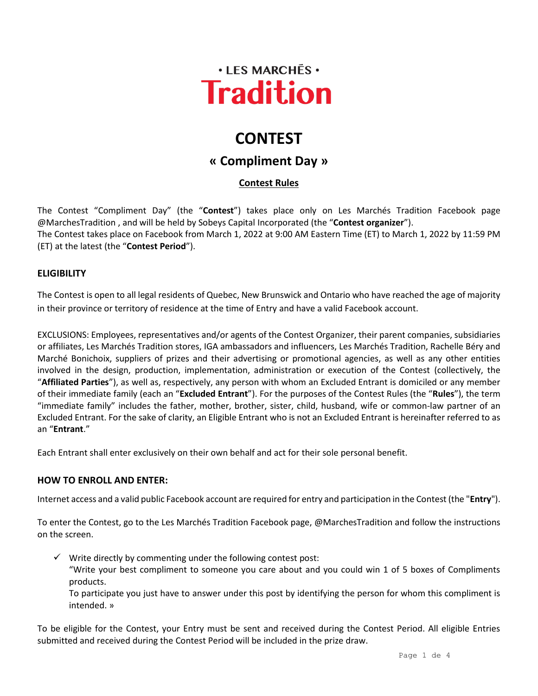

# **CONTEST**

## **« Compliment Day »**

### **Contest Rules**

The Contest "Compliment Day" (the "**Contest**") takes place only on Les Marchés Tradition Facebook page @MarchesTradition , and will be held by Sobeys Capital Incorporated (the "**Contest organizer**"). The Contest takes place on Facebook from March 1, 2022 at 9:00 AM Eastern Time (ET) to March 1, 2022 by 11:59 PM (ET) at the latest (the "**Contest Period**").

#### **ELIGIBILITY**

The Contest is open to all legal residents of Quebec, New Brunswick and Ontario who have reached the age of majority in their province or territory of residence at the time of Entry and have a valid Facebook account.

EXCLUSIONS: Employees, representatives and/or agents of the Contest Organizer, their parent companies, subsidiaries or affiliates, Les Marchés Tradition stores, IGA ambassadors and influencers, Les Marchés Tradition, Rachelle Béry and Marché Bonichoix, suppliers of prizes and their advertising or promotional agencies, as well as any other entities involved in the design, production, implementation, administration or execution of the Contest (collectively, the "**Affiliated Parties**"), as well as, respectively, any person with whom an Excluded Entrant is domiciled or any member of their immediate family (each an "**Excluded Entrant**"). For the purposes of the Contest Rules (the "**Rules**"), the term "immediate family" includes the father, mother, brother, sister, child, husband, wife or common-law partner of an Excluded Entrant. For the sake of clarity, an Eligible Entrant who is not an Excluded Entrant is hereinafter referred to as an "**Entrant**."

Each Entrant shall enter exclusively on their own behalf and act for their sole personal benefit.

#### **HOW TO ENROLL AND ENTER:**

Internet access and a valid public Facebook account are required for entry and participation in the Contest (the "**Entry**").

To enter the Contest, go to the Les Marchés Tradition Facebook page, @MarchesTradition and follow the instructions on the screen.

 $\checkmark$  Write directly by commenting under the following contest post:

"Write your best compliment to someone you care about and you could win 1 of 5 boxes of Compliments products.

To participate you just have to answer under this post by identifying the person for whom this compliment is intended. »

To be eligible for the Contest, your Entry must be sent and received during the Contest Period. All eligible Entries submitted and received during the Contest Period will be included in the prize draw.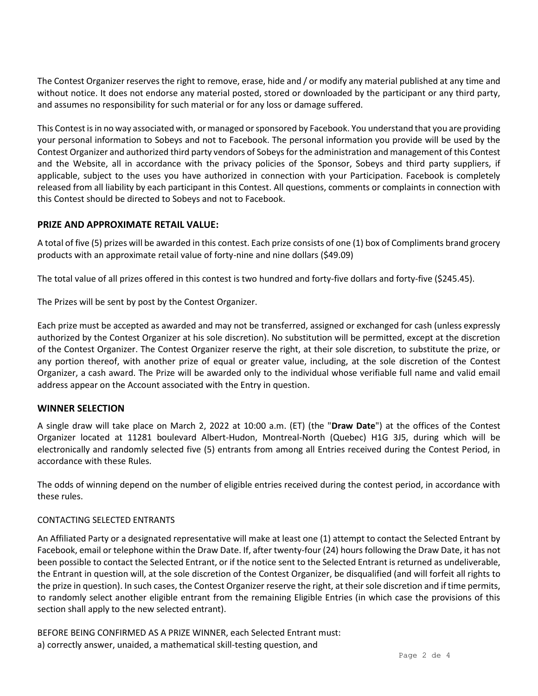The Contest Organizer reserves the right to remove, erase, hide and / or modify any material published at any time and without notice. It does not endorse any material posted, stored or downloaded by the participant or any third party, and assumes no responsibility for such material or for any loss or damage suffered.

This Contest is in no way associated with, or managed or sponsored by Facebook. You understand that you are providing your personal information to Sobeys and not to Facebook. The personal information you provide will be used by the Contest Organizer and authorized third party vendors of Sobeys for the administration and management of this Contest and the Website, all in accordance with the privacy policies of the Sponsor, Sobeys and third party suppliers, if applicable, subject to the uses you have authorized in connection with your Participation. Facebook is completely released from all liability by each participant in this Contest. All questions, comments or complaints in connection with this Contest should be directed to Sobeys and not to Facebook.

#### **PRIZE AND APPROXIMATE RETAIL VALUE:**

A total of five (5) prizes will be awarded in this contest. Each prize consists of one (1) box of Compliments brand grocery products with an approximate retail value of forty-nine and nine dollars (\$49.09)

The total value of all prizes offered in this contest is two hundred and forty-five dollars and forty-five (\$245.45).

The Prizes will be sent by post by the Contest Organizer.

Each prize must be accepted as awarded and may not be transferred, assigned or exchanged for cash (unless expressly authorized by the Contest Organizer at his sole discretion). No substitution will be permitted, except at the discretion of the Contest Organizer. The Contest Organizer reserve the right, at their sole discretion, to substitute the prize, or any portion thereof, with another prize of equal or greater value, including, at the sole discretion of the Contest Organizer, a cash award. The Prize will be awarded only to the individual whose verifiable full name and valid email address appear on the Account associated with the Entry in question.

#### **WINNER SELECTION**

A single draw will take place on March 2, 2022 at 10:00 a.m. (ET) (the "**Draw Date**") at the offices of the Contest Organizer located at 11281 boulevard Albert-Hudon, Montreal-North (Quebec) H1G 3J5, during which will be electronically and randomly selected five (5) entrants from among all Entries received during the Contest Period, in accordance with these Rules.

The odds of winning depend on the number of eligible entries received during the contest period, in accordance with these rules.

#### CONTACTING SELECTED ENTRANTS

An Affiliated Party or a designated representative will make at least one (1) attempt to contact the Selected Entrant by Facebook, email or telephone within the Draw Date. If, after twenty-four (24) hours following the Draw Date, it has not been possible to contact the Selected Entrant, or if the notice sent to the Selected Entrant is returned as undeliverable, the Entrant in question will, at the sole discretion of the Contest Organizer, be disqualified (and will forfeit all rights to the prize in question). In such cases, the Contest Organizer reserve the right, at their sole discretion and if time permits, to randomly select another eligible entrant from the remaining Eligible Entries (in which case the provisions of this section shall apply to the new selected entrant).

BEFORE BEING CONFIRMED AS A PRIZE WINNER, each Selected Entrant must: a) correctly answer, unaided, a mathematical skill-testing question, and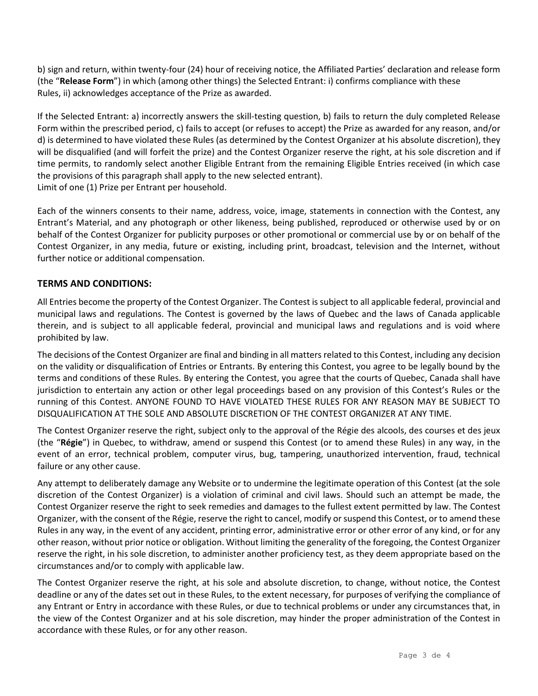b) sign and return, within twenty-four (24) hour of receiving notice, the Affiliated Parties' declaration and release form (the "**Release Form**") in which (among other things) the Selected Entrant: i) confirms compliance with these Rules, ii) acknowledges acceptance of the Prize as awarded.

If the Selected Entrant: a) incorrectly answers the skill-testing question, b) fails to return the duly completed Release Form within the prescribed period, c) fails to accept (or refuses to accept) the Prize as awarded for any reason, and/or d) is determined to have violated these Rules (as determined by the Contest Organizer at his absolute discretion), they will be disqualified (and will forfeit the prize) and the Contest Organizer reserve the right, at his sole discretion and if time permits, to randomly select another Eligible Entrant from the remaining Eligible Entries received (in which case the provisions of this paragraph shall apply to the new selected entrant). Limit of one (1) Prize per Entrant per household.

Each of the winners consents to their name, address, voice, image, statements in connection with the Contest, any Entrant's Material, and any photograph or other likeness, being published, reproduced or otherwise used by or on behalf of the Contest Organizer for publicity purposes or other promotional or commercial use by or on behalf of the Contest Organizer, in any media, future or existing, including print, broadcast, television and the Internet, without further notice or additional compensation.

#### **TERMS AND CONDITIONS:**

All Entries become the property of the Contest Organizer. The Contest is subject to all applicable federal, provincial and municipal laws and regulations. The Contest is governed by the laws of Quebec and the laws of Canada applicable therein, and is subject to all applicable federal, provincial and municipal laws and regulations and is void where prohibited by law.

The decisions of the Contest Organizer are final and binding in all matters related to this Contest, including any decision on the validity or disqualification of Entries or Entrants. By entering this Contest, you agree to be legally bound by the terms and conditions of these Rules. By entering the Contest, you agree that the courts of Quebec, Canada shall have jurisdiction to entertain any action or other legal proceedings based on any provision of this Contest's Rules or the running of this Contest. ANYONE FOUND TO HAVE VIOLATED THESE RULES FOR ANY REASON MAY BE SUBJECT TO DISQUALIFICATION AT THE SOLE AND ABSOLUTE DISCRETION OF THE CONTEST ORGANIZER AT ANY TIME.

The Contest Organizer reserve the right, subject only to the approval of the Régie des alcools, des courses et des jeux (the "**Régie**") in Quebec, to withdraw, amend or suspend this Contest (or to amend these Rules) in any way, in the event of an error, technical problem, computer virus, bug, tampering, unauthorized intervention, fraud, technical failure or any other cause.

Any attempt to deliberately damage any Website or to undermine the legitimate operation of this Contest (at the sole discretion of the Contest Organizer) is a violation of criminal and civil laws. Should such an attempt be made, the Contest Organizer reserve the right to seek remedies and damages to the fullest extent permitted by law. The Contest Organizer, with the consent of the Régie, reserve the right to cancel, modify or suspend this Contest, or to amend these Rules in any way, in the event of any accident, printing error, administrative error or other error of any kind, or for any other reason, without prior notice or obligation. Without limiting the generality of the foregoing, the Contest Organizer reserve the right, in his sole discretion, to administer another proficiency test, as they deem appropriate based on the circumstances and/or to comply with applicable law.

The Contest Organizer reserve the right, at his sole and absolute discretion, to change, without notice, the Contest deadline or any of the dates set out in these Rules, to the extent necessary, for purposes of verifying the compliance of any Entrant or Entry in accordance with these Rules, or due to technical problems or under any circumstances that, in the view of the Contest Organizer and at his sole discretion, may hinder the proper administration of the Contest in accordance with these Rules, or for any other reason.